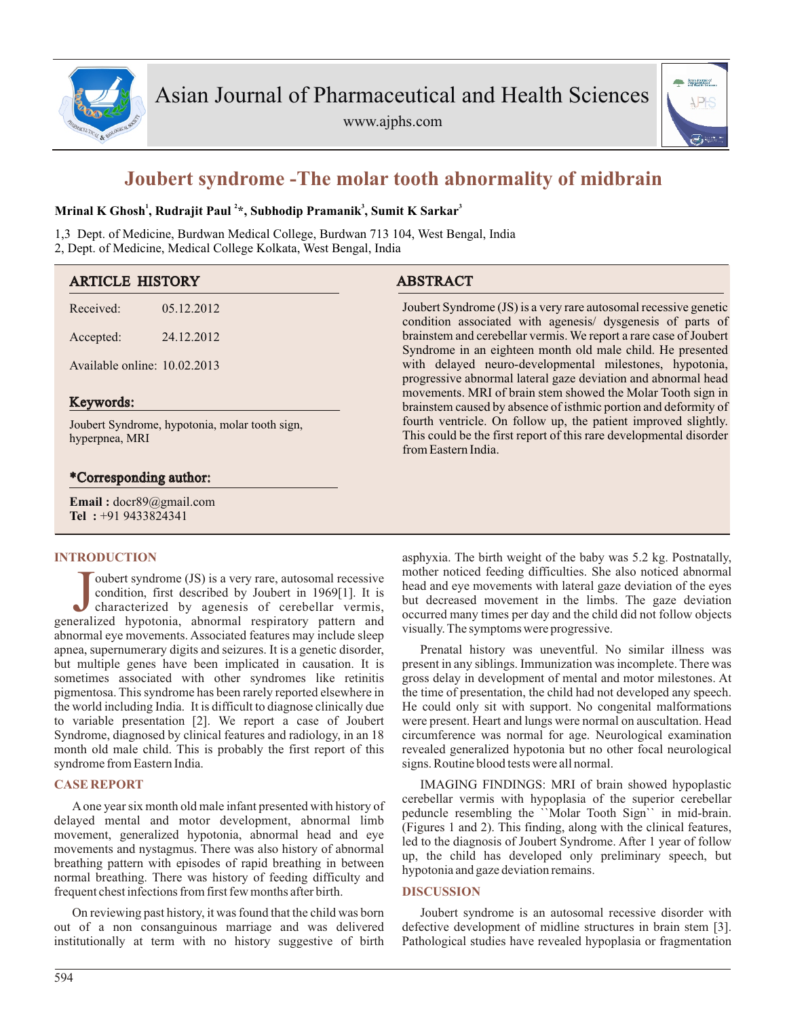

www.ajphs.com



# **Joubert syndrome -The molar tooth abnormality of midbrain**

## **<sup>1</sup> <sup>2</sup> <sup>3</sup> <sup>3</sup> Mrinal K Ghosh , Rudrajit Paul \*, Subhodip Pramanik , Sumit K Sarkar**

1,3 Dept. of Medicine, Burdwan Medical College, Burdwan 713 104, West Bengal, India 2, Dept. of Medicine, Medical College Kolkata, West Bengal, India

| <b>ARTICLE HISTORY</b>                                           |            | <b>ABSTRACT</b>                                                                                                                                                                                                                                            |  |
|------------------------------------------------------------------|------------|------------------------------------------------------------------------------------------------------------------------------------------------------------------------------------------------------------------------------------------------------------|--|
| Received:                                                        | 05.12.2012 | Joubert Syndrome (JS) is a very rare autosomal recessive genetic<br>condition associated with agenesis/ dysgenesis of parts of                                                                                                                             |  |
| Accepted:                                                        | 24.12.2012 | brainstem and cerebellar vermis. We report a rare case of Joubert<br>Syndrome in an eighteen month old male child. He presented                                                                                                                            |  |
| Available online: 10.02.2013                                     |            | with delayed neuro-developmental milestones, hypotonia,<br>progressive abnormal lateral gaze deviation and abnormal head<br>movements. MRI of brain stem showed the Molar Tooth sign in<br>brainstem caused by absence of isthmic portion and deformity of |  |
| Keywords:                                                        |            |                                                                                                                                                                                                                                                            |  |
| Joubert Syndrome, hypotonia, molar tooth sign,<br>hyperpnea, MRI |            | fourth ventricle. On follow up, the patient improved slightly.<br>This could be the first report of this rare developmental disorder<br>from Eastern India.                                                                                                |  |
| *Corresponding author:                                           |            |                                                                                                                                                                                                                                                            |  |
| <b>Email:</b> $docr89@gmail.com$<br>Tel: +91 9433824341          |            |                                                                                                                                                                                                                                                            |  |

## **INTRODUCTION**

Joubert syndrome (JS) is a very rare, autosomal recessive condition, first described by Joubert in 1969[1]. It is characterized by agenesis of cerebellar vermis, generalized hypotonia, abnormal respiratory pattern and oubert syndrome (JS) is a very rare, autosomal recessive condition, first described by Joubert in 1969[1]. It is characterized by agenesis of cerebellar vermis, abnormal eye movements. Associated features may include sleep apnea, supernumerary digits and seizures. It is a genetic disorder, but multiple genes have been implicated in causation. It is sometimes associated with other syndromes like retinitis pigmentosa. This syndrome has been rarely reported elsewhere in the world including India. It is difficult to diagnose clinically due to variable presentation [2]. We report a case of Joubert Syndrome, diagnosed by clinical features and radiology, in an 18 month old male child. This is probably the first report of this syndrome from Eastern India.

# **CASE REPORT**

Aone year six month old male infant presented with history of delayed mental and motor development, abnormal limb movement, generalized hypotonia, abnormal head and eye movements and nystagmus. There was also history of abnormal breathing pattern with episodes of rapid breathing in between normal breathing. There was history of feeding difficulty and frequent chest infections from first few months after birth.

On reviewing past history, it was found that the child was born out of a non consanguinous marriage and was delivered institutionally at term with no history suggestive of birth asphyxia. The birth weight of the baby was 5.2 kg. Postnatally, mother noticed feeding difficulties. She also noticed abnormal head and eye movements with lateral gaze deviation of the eyes but decreased movement in the limbs. The gaze deviation occurred many times per day and the child did not follow objects visually. The symptoms were progressive.

Prenatal history was uneventful. No similar illness was present in any siblings. Immunization was incomplete. There was gross delay in development of mental and motor milestones. At the time of presentation, the child had not developed any speech. He could only sit with support. No congenital malformations were present. Heart and lungs were normal on auscultation. Head circumference was normal for age. Neurological examination revealed generalized hypotonia but no other focal neurological signs. Routine blood tests were all normal.

IMAGING FINDINGS: MRI of brain showed hypoplastic cerebellar vermis with hypoplasia of the superior cerebellar peduncle resembling the ``Molar Tooth Sign`` in mid-brain. (Figures 1 and 2). This finding, along with the clinical features, led to the diagnosis of Joubert Syndrome. After 1 year of follow up, the child has developed only preliminary speech, but hypotonia and gaze deviation remains.

## **DISCUSSION**

Joubert syndrome is an autosomal recessive disorder with defective development of midline structures in brain stem [3]. Pathological studies have revealed hypoplasia or fragmentation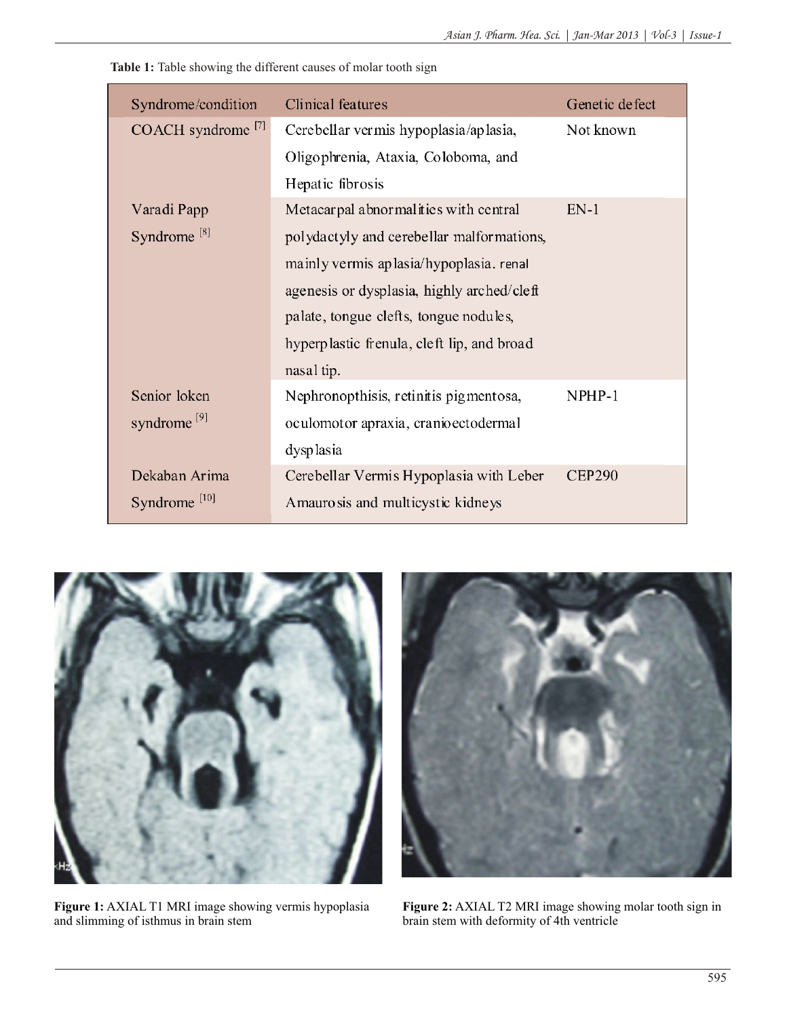**Table 1:** Table showing the different causes of molar tooth sign

| Syndrome/condition       | Clinical features                          | Genetic defect |
|--------------------------|--------------------------------------------|----------------|
| COACH syndrome $^{[7]}$  | Cerebellar vermis hypoplasia/aplasia,      | Not known      |
|                          | Oligophrenia, Ataxia, Coloboma, and        |                |
|                          | Hepatic fibrosis                           |                |
| Varadi Papp              | Metacarpal abnormalities with central      | $EN-1$         |
| Syndrome <sup>[8]</sup>  | polydactyly and cerebellar malformations,  |                |
|                          | mainly vermis aplasia/hypoplasia. renal    |                |
|                          | agenesis or dysplasia, highly arched/cleft |                |
|                          | palate, tongue clefts, tongue nodules,     |                |
|                          | hyperplastic frenula, cleft lip, and broad |                |
|                          | nasal tip.                                 |                |
| Senior loken             | Nephronopthisis, retinitis pigmentosa,     | NPHP-1         |
| syndrome <sup>[9]</sup>  | oculomotor apraxia, cranio ectodermal      |                |
|                          | dysplasia                                  |                |
| Dekaban Arima            | Cerebellar Vermis Hypoplasia with Leber    | <b>CEP290</b>  |
| Syndrome <sup>[10]</sup> | Amaurosis and multicystic kidneys          |                |



**Figure 1:** AXIAL T1 MRI image showing vermis hypoplasia and slimming of isthmus in brain stem



**Figure 2:** AXIAL T2 MRI image showing molar tooth sign in brain stem with deformity of 4th ventricle